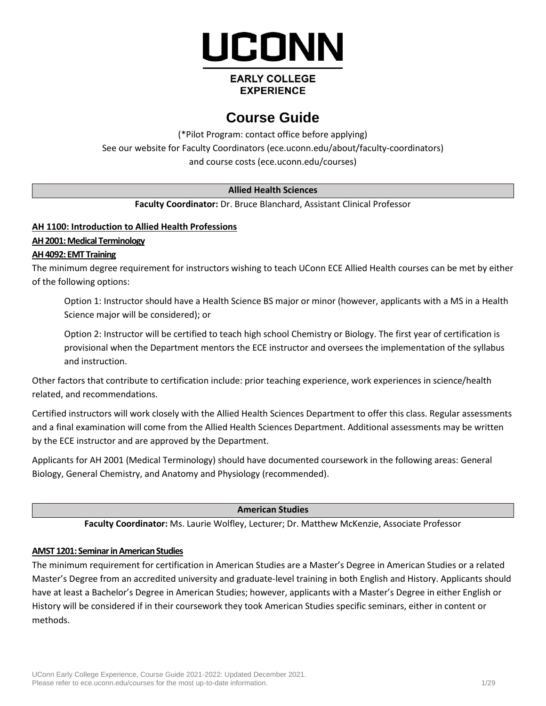

## **EARLY COLLEGE EXPERIENCE**

# **Course Guide**

(\*Pilot Program: contact office before applying) See our website for Faculty Coordinators (ece.uconn.edu/about/faculty-coordinators) and course costs [\(ece.uconn.edu/courses\)](http://www.ece.uconn.edu/courses)

## **Allied Health Sciences**

**Faculty Coordinator:** Dr. Bruce Blanchard, Assistant Clinical Professor

## **AH 1100: Introduction to Allied Health Professions**

## **AH 2001: Medical Terminology**

## **AH 4092: EMT Training**

The minimum degree requirement for instructors wishing to teach UConn ECE Allied Health courses can be met by either of the following options:

Option 1: Instructor should have a Health Science BS major or minor (however, applicants with a MS in a Health Science major will be considered); or

Option 2: Instructor will be certified to teach high school Chemistry or Biology. The first year of certification is provisional when the Department mentors the ECE instructor and oversees the implementation of the syllabus and instruction.

Other factors that contribute to certification include: prior teaching experience, work experiences in science/health related, and recommendations.

Certified instructors will work closely with the Allied Health Sciences Department to offer this class. Regular assessments and a final examination will come from the Allied Health Sciences Department. Additional assessments may be written by the ECE instructor and are approved by the Department.

Applicants for AH 2001 (Medical Terminology) should have documented coursework in the following areas: General Biology, General Chemistry, and Anatomy and Physiology (recommended).

## **American Studies**

**Faculty Coordinator:** Ms. Laurie Wolfley, Lecturer; Dr. Matthew McKenzie, Associate Professor

## **AMST 1201: Seminar in American Studies**

The minimum requirement for certification in American Studies are a Master's Degree in American Studies or a related Master's Degree from an accredited university and graduate-level training in both English and History. Applicants should have at least a Bachelor's Degree in American Studies; however, applicants with a Master's Degree in either English or History will be considered if in their coursework they took American Studies specific seminars, either in content or methods.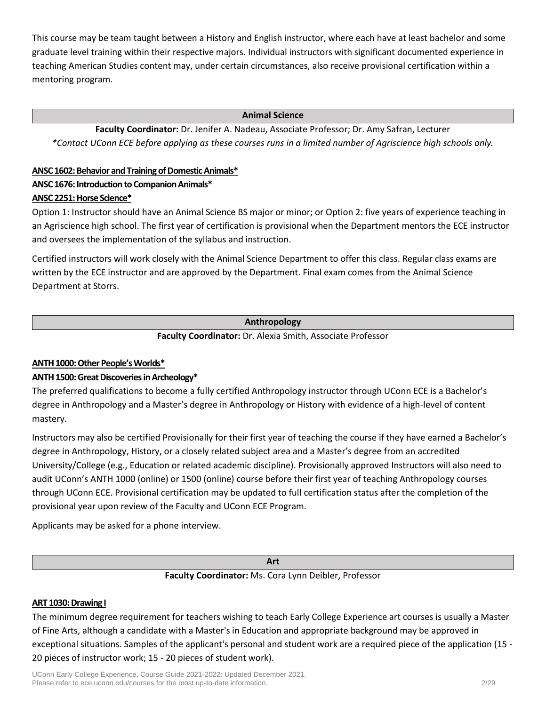This course may be team taught between a History and English instructor, where each have at least bachelor and some graduate level training within their respective majors. Individual instructors with significant documented experience in teaching American Studies content may, under certain circumstances, also receive provisional certification within a mentoring program.

#### **Animal Science**

**Faculty Coordinator:** Dr. Jenifer A. Nadeau, Associate Professor; Dr. Amy Safran, Lecturer *\*Contact UConn ECE before applying as these courses runs in a limited number of Agriscience high schools only.*

## **ANSC 1602: Behavior and Training of Domestic Animals\***

## **ANSC 1676: Introduction to Companion Animals\***

## **ANSC 2251: Horse Science\***

Option 1: Instructor should have an Animal Science BS major or minor; or Option 2: five years of experience teaching in an Agriscience high school. The first year of certification is provisional when the Department mentors the ECE instructor and oversees the implementation of the syllabus and instruction.

Certified instructors will work closely with the Animal Science Department to offer this class. Regular class exams are written by the ECE instructor and are approved by the Department. Final exam comes from the Animal Science Department at Storrs.

## **Anthropology**

**Faculty Coordinator:** Dr. Alexia Smith, Associate Professor

## **ANTH 1000: Other People's Worlds\***

## **ANTH 1500: Great Discoveries in Archeology\***

The preferred qualifications to become a fully certified Anthropology instructor through UConn ECE is a Bachelor's degree in Anthropology and a Master's degree in Anthropology or History with evidence of a high-level of content mastery.

Instructors may also be certified Provisionally for their first year of teaching the course if they have earned a Bachelor's degree in Anthropology, History, or a closely related subject area and a Master's degree from an accredited University/College (e.g., Education or related academic discipline). Provisionally approved Instructors will also need to audit UConn's ANTH 1000 (online) or 1500 (online) course before their first year of teaching Anthropology courses through UConn ECE. Provisional certification may be updated to full certification status after the completion of the provisional year upon review of the Faculty and UConn ECE Program.

Applicants may be asked for a phone interview.

**Art**

**Faculty Coordinator:** Ms. Cora Lynn Deibler, Professor

## **ART 1030: Drawing I**

The minimum degree requirement for teachers wishing to teach Early College Experience art courses is usually a Master of Fine Arts, although a candidate with a Master's in Education and appropriate background may be approved in exceptional situations. Samples of the applicant's personal and student work are a required piece of the application (15 - 20 pieces of instructor work; 15 - 20 pieces of student work).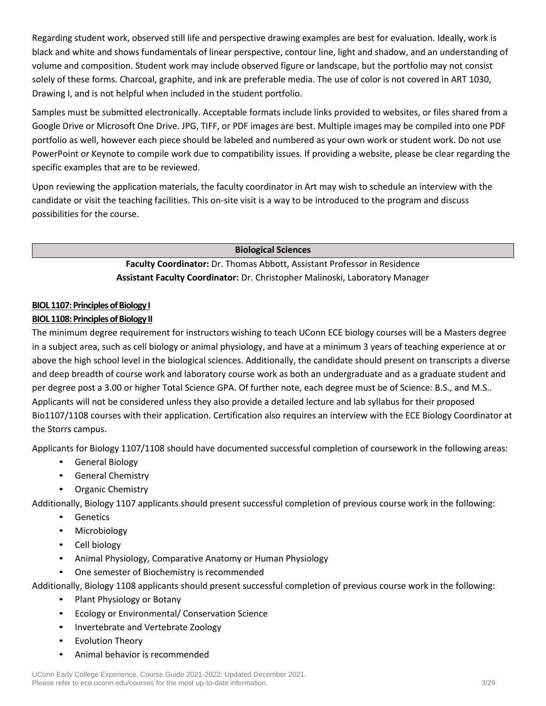Regarding student work, observed still life and perspective drawing examples are best for evaluation. Ideally, work is black and white and shows fundamentals of linear perspective, contour line, light and shadow, and an understanding of volume and composition. Student work may include observed figure or landscape, but the portfolio may not consist solely of these forms. Charcoal, graphite, and ink are preferable media. The use of color is not covered in ART 1030, Drawing I, and is not helpful when included in the student portfolio.

Samples must be submitted electronically. Acceptable formats include links provided to websites, or files shared from a Google Drive or Microsoft One Drive. JPG, TIFF, or PDF images are best. Multiple images may be compiled into one PDF portfolio as well, however each piece should be labeled and numbered as your own work or student work. Do not use PowerPoint or Keynote to compile work due to compatibility issues. If providing a website, please be clear regarding the specific examples that are to be reviewed.

Upon reviewing the application materials, the faculty coordinator in Art may wish to schedule an interview with the candidate or visit the teaching facilities. This on-site visit is a way to be introduced to the program and discuss possibilities for the course.

**Biological Sciences**

**Faculty Coordinator:** Dr. Thomas Abbott, Assistant Professor in Residence **Assistant Faculty Coordinator:** Dr. Christopher Malinoski, Laboratory Manager

## **BIOL 1107: Principles of Biology I**

## **BIOL 1108: Principles of Biology II**

The minimum degree requirement for instructors wishing to teach UConn ECE biology courses will be a Masters degree in a subject area, such as cell biology or animal physiology, and have at a minimum 3 years of teaching experience at or above the high school level in the biological sciences. Additionally, the candidate should present on transcripts a diverse and deep breadth of course work and laboratory course work as both an undergraduate and as a graduate student and per degree post a 3.00 or higher Total Science GPA. Of further note, each degree must be of Science: B.S., and M.S.. Applicants will not be considered unless they also provide a detailed lecture and lab syllabus for their proposed Bio1107/1108 courses with their application. Certification also requires an interview with the ECE Biology Coordinator at the Storrs campus.

Applicants for Biology 1107/1108 should have documented successful completion of coursework in the following areas:

- General Biology
- General Chemistry
- Organic Chemistry

Additionally, Biology 1107 applicants should present successful completion of previous course work in the following:

- Genetics
- Microbiology
- Cell biology
- Animal Physiology, Comparative Anatomy or Human Physiology
- One semester of Biochemistry is recommended
- Additionally, Biology 1108 applicants should present successful completion of previous course work in the following:
	- Plant Physiology or Botany
	- Ecology or Environmental/ Conservation Science
	- Invertebrate and Vertebrate Zoology
	- **Evolution Theory**
	- Animal behavior is recommended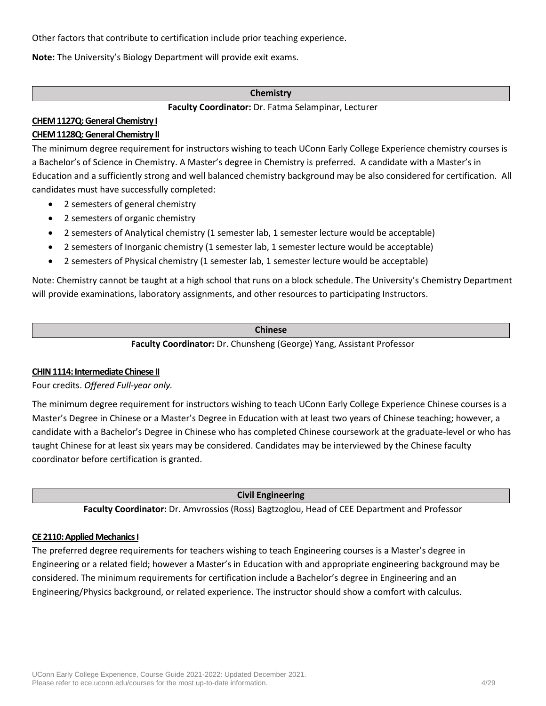Other factors that contribute to certification include prior teaching experience.

**Note:** The University's Biology Department will provide exit exams.

#### **Chemistry**

**Faculty Coordinator:** Dr. Fatma Selampinar, Lecturer

#### **CHEM 1127Q: General Chemistry I CHEM 1128Q: General Chemistry II**

The minimum degree requirement for instructors wishing to teach UConn Early College Experience chemistry courses is a Bachelor's of Science in Chemistry. A Master's degree in Chemistry is preferred. A candidate with a Master's in Education and a sufficiently strong and well balanced chemistry background may be also considered for certification. All candidates must have successfully completed:

- 2 semesters of general chemistry
- 2 semesters of organic chemistry
- 2 semesters of Analytical chemistry (1 semester lab, 1 semester lecture would be acceptable)
- 2 semesters of Inorganic chemistry (1 semester lab, 1 semester lecture would be acceptable)
- 2 semesters of Physical chemistry (1 semester lab, 1 semester lecture would be acceptable)

Note: Chemistry cannot be taught at a high school that runs on a block schedule. The University's Chemistry Department will provide examinations, laboratory assignments, and other resources to participating Instructors.

#### **Chinese**

**Faculty Coordinator:** Dr. Chunsheng (George) Yang, Assistant Professor

#### **CHIN 1114: Intermediate Chinese II**

Four credits. *Offered Full-year only.*

The minimum degree requirement for instructors wishing to teach UConn Early College Experience Chinese courses is a Master's Degree in Chinese or a Master's Degree in Education with at least two years of Chinese teaching; however, a candidate with a Bachelor's Degree in Chinese who has completed Chinese coursework at the graduate-level or who has taught Chinese for at least six years may be considered. Candidates may be interviewed by the Chinese faculty coordinator before certification is granted.

**Civil Engineering**

**Faculty Coordinator:** Dr. Amvrossios (Ross) Bagtzoglou, Head of CEE Department and Professor

#### **CE 2110: Applied Mechanics I**

The preferred degree requirements for teachers wishing to teach Engineering courses is a Master's degree in Engineering or a related field; however a Master's in Education with and appropriate engineering background may be considered. The minimum requirements for certification include a Bachelor's degree in Engineering and an Engineering/Physics background, or related experience. The instructor should show a comfort with calculus.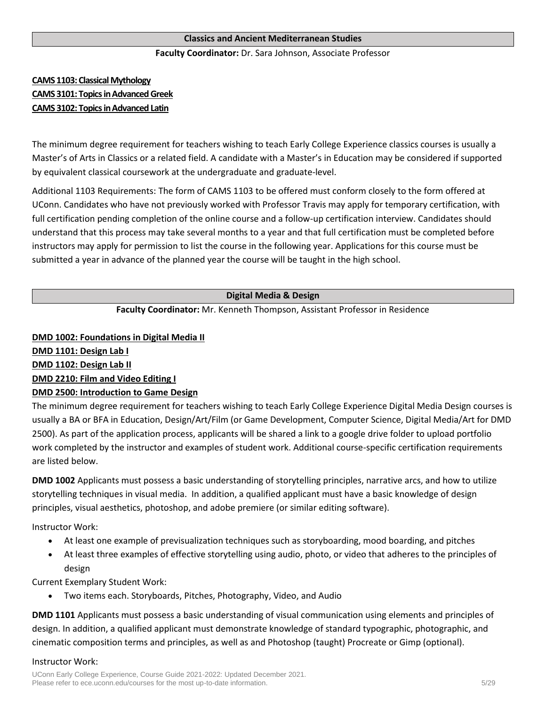#### **Classics and Ancient Mediterranean Studies**

#### **Faculty Coordinator:** Dr. Sara Johnson, Associate Professor

## **CAMS 1103: Classical Mythology CAMS 3101: Topics in Advanced Greek CAMS 3102: Topics in Advanced Latin**

The minimum degree requirement for teachers wishing to teach Early College Experience classics courses is usually a Master's of Arts in Classics or a related field. A candidate with a Master's in Education may be considered if supported by equivalent classical coursework at the undergraduate and graduate-level.

Additional 1103 Requirements: The form of CAMS 1103 to be offered must conform closely to the form offered at UConn. Candidates who have not previously worked with Professor Travis may apply for temporary certification, with full certification pending completion of the online course and a follow-up certification interview. Candidates should understand that this process may take several months to a year and that full certification must be completed before instructors may apply for permission to list the course in the following year. Applications for this course must be submitted a year in advance of the planned year the course will be taught in the high school.

## **Digital Media & Design**

#### **Faculty Coordinator:** Mr. Kenneth Thompson, Assistant Professor in Residence

#### **DMD 1002: Foundations in Digital Media II**

**DMD 1101: Design Lab I**

**DMD 1102: Design Lab II**

#### **DMD 2210: Film and Video Editing I**

#### **DMD 2500: Introduction to Game Design**

The minimum degree requirement for teachers wishing to teach Early College Experience Digital Media Design courses is usually a BA or BFA in Education, Design/Art/Film (or Game Development, Computer Science, Digital Media/Art for DMD 2500). As part of the application process, applicants will be shared a link to a google drive folder to upload portfolio work completed by the instructor and examples of student work. Additional course-specific certification requirements are listed below.

**DMD 1002** Applicants must possess a basic understanding of storytelling principles, narrative arcs, and how to utilize storytelling techniques in visual media. In addition, a qualified applicant must have a basic knowledge of design principles, visual aesthetics, photoshop, and adobe premiere (or similar editing software).

Instructor Work:

- At least one example of previsualization techniques such as storyboarding, mood boarding, and pitches
- At least three examples of effective storytelling using audio, photo, or video that adheres to the principles of design

Current Exemplary Student Work:

• Two items each. Storyboards, Pitches, Photography, Video, and Audio

**DMD 1101** Applicants must possess a basic understanding of visual communication using elements and principles of design. In addition, a qualified applicant must demonstrate knowledge of standard typographic, photographic, and cinematic composition terms and principles, as well as and Photoshop (taught) Procreate or Gimp (optional).

#### Instructor Work: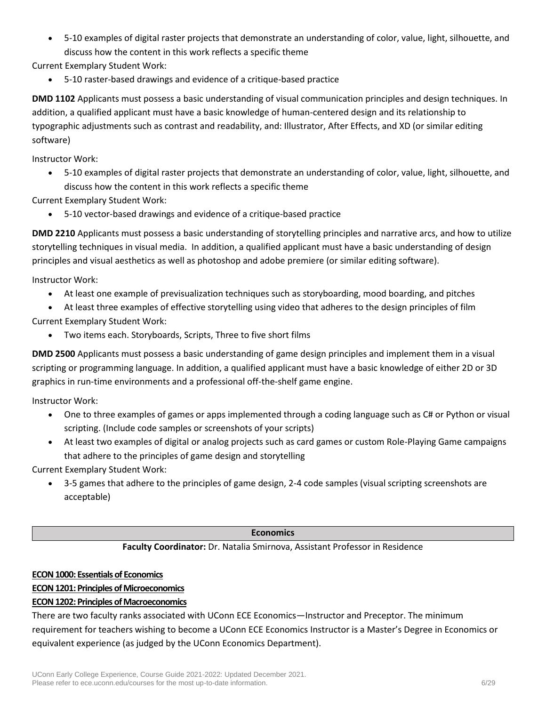• 5-10 examples of digital raster projects that demonstrate an understanding of color, value, light, silhouette, and discuss how the content in this work reflects a specific theme

Current Exemplary Student Work:

• 5-10 raster-based drawings and evidence of a critique-based practice

**DMD 1102** Applicants must possess a basic understanding of visual communication principles and design techniques. In addition, a qualified applicant must have a basic knowledge of human-centered design and its relationship to typographic adjustments such as contrast and readability, and: Illustrator, After Effects, and XD (or similar editing software)

Instructor Work:

• 5-10 examples of digital raster projects that demonstrate an understanding of color, value, light, silhouette, and discuss how the content in this work reflects a specific theme

Current Exemplary Student Work:

• 5-10 vector-based drawings and evidence of a critique-based practice

**DMD 2210** Applicants must possess a basic understanding of storytelling principles and narrative arcs, and how to utilize storytelling techniques in visual media. In addition, a qualified applicant must have a basic understanding of design principles and visual aesthetics as well as photoshop and adobe premiere (or similar editing software).

Instructor Work:

- At least one example of previsualization techniques such as storyboarding, mood boarding, and pitches
- At least three examples of effective storytelling using video that adheres to the design principles of film Current Exemplary Student Work:
	- Two items each. Storyboards, Scripts, Three to five short films

**DMD 2500** Applicants must possess a basic understanding of game design principles and implement them in a visual scripting or programming language. In addition, a qualified applicant must have a basic knowledge of either 2D or 3D graphics in run-time environments and a professional off-the-shelf game engine.

Instructor Work:

- One to three examples of games or apps implemented through a coding language such as C# or Python or visual scripting. (Include code samples or screenshots of your scripts)
- At least two examples of digital or analog projects such as card games or custom Role-Playing Game campaigns that adhere to the principles of game design and storytelling

Current Exemplary Student Work:

• 3-5 games that adhere to the principles of game design, 2-4 code samples (visual scripting screenshots are acceptable)

#### **Economics**

#### **Faculty Coordinator:** Dr. Natalia Smirnova, Assistant Professor in Residence

#### **ECON 1000: Essentials of Economics**

## **ECON 1201: Principles of Microeconomics**

## **ECON 1202: Principles of Macroeconomics**

There are two faculty ranks associated with UConn ECE Economics—Instructor and Preceptor. The minimum requirement for teachers wishing to become a UConn ECE Economics Instructor is a Master's Degree in Economics or equivalent experience (as judged by the UConn Economics Department).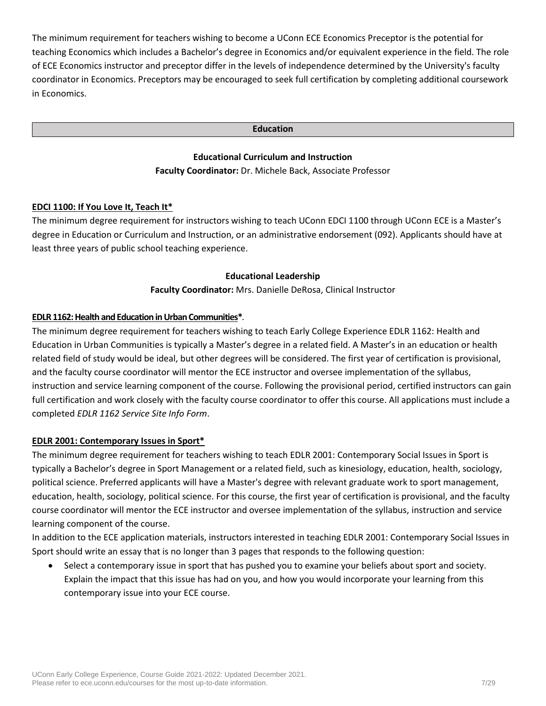The minimum requirement for teachers wishing to become a UConn ECE Economics Preceptor is the potential for teaching Economics which includes a Bachelor's degree in Economics and/or equivalent experience in the field. The role of ECE Economics instructor and preceptor differ in the levels of independence determined by the University's faculty coordinator in Economics. Preceptors may be encouraged to seek full certification by completing additional coursework in Economics.

#### **Education**

## **Educational Curriculum and Instruction Faculty Coordinator:** Dr. Michele Back, Associate Professor

#### **EDCI 1100: If You Love It, Teach It\***

The minimum degree requirement for instructors wishing to teach UConn EDCI 1100 through UConn ECE is a Master's degree in Education or Curriculum and Instruction, or an administrative endorsement (092). Applicants should have at least three years of public school teaching experience.

#### **Educational Leadership**

**Faculty Coordinator:** Mrs. Danielle DeRosa, Clinical Instructor

#### **EDLR 1162: Health and Education in Urban Communities\****.*

The minimum degree requirement for teachers wishing to teach Early College Experience EDLR 1162: Health and Education in Urban Communities is typically a Master's degree in a related field. A Master's in an education or health related field of study would be ideal, but other degrees will be considered. The first year of certification is provisional, and the faculty course coordinator will mentor the ECE instructor and oversee implementation of the syllabus, instruction and service learning component of the course. Following the provisional period, certified instructors can gain full certification and work closely with the faculty course coordinator to offer this course. All applications must include a completed *[EDLR 1162 Service Site Info Form](https://ece.uconn.edu/wp-content/uploads/sites/2571/2019/12/EDLR-1162_-ECE-site-expansion-application.pdf)*.

#### **EDLR 2001: Contemporary Issues in Sport\***

The minimum degree requirement for teachers wishing to teach EDLR 2001: Contemporary Social Issues in Sport is typically a Bachelor's degree in Sport Management or a related field, such as kinesiology, education, health, sociology, political science. Preferred applicants will have a Master's degree with relevant graduate work to sport management, education, health, sociology, political science. For this course, the first year of certification is provisional, and the faculty course coordinator will mentor the ECE instructor and oversee implementation of the syllabus, instruction and service learning component of the course.

In addition to the ECE application materials, instructors interested in teaching EDLR 2001: Contemporary Social Issues in Sport should write an essay that is no longer than 3 pages that responds to the following question:

• Select a contemporary issue in sport that has pushed you to examine your beliefs about sport and society. Explain the impact that this issue has had on you, and how you would incorporate your learning from this contemporary issue into your ECE course.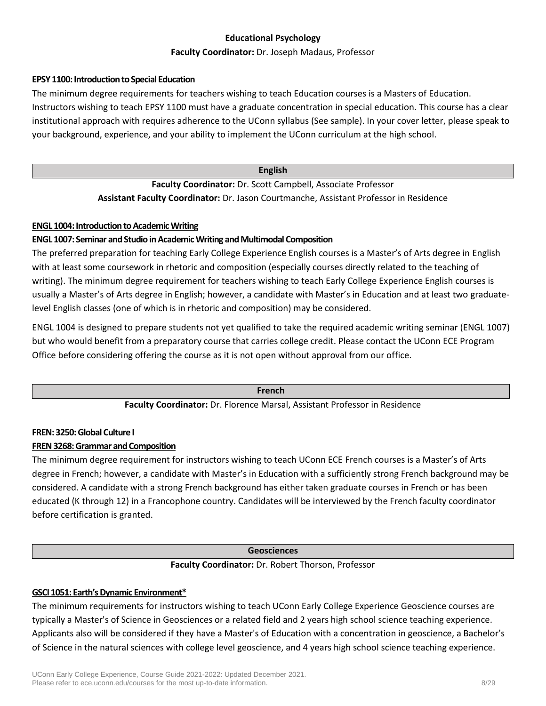## **Educational Psychology**

#### **Faculty Coordinator:** Dr. Joseph Madaus, Professor

#### **EPSY 1100: Introduction to Special Education**

The minimum degree requirements for teachers wishing to teach Education courses is a Masters of Education. Instructors wishing to teach EPSY 1100 must have a graduate concentration in special education. This course has a clear institutional approach with requires adherence to the UConn syllabus (See sample). In your cover letter, please speak to your background, experience, and your ability to implement the UConn curriculum at the high school.

#### **English**

**Faculty Coordinator:** Dr. Scott Campbell, Associate Professor **Assistant Faculty Coordinator:** Dr. Jason Courtmanche, Assistant Professor in Residence

## **ENGL 1004: Introduction to Academic Writing**

## **ENGL 1007: Seminar and Studio in Academic Writing and Multimodal Composition**

The preferred preparation for teaching Early College Experience English courses is a Master's of Arts degree in English with at least some coursework in rhetoric and composition (especially courses directly related to the teaching of writing). The minimum degree requirement for teachers wishing to teach Early College Experience English courses is usually a Master's of Arts degree in English; however, a candidate with Master's in Education and at least two graduatelevel English classes (one of which is in rhetoric and composition) may be considered.

ENGL 1004 is designed to prepare students not yet qualified to take the required academic writing seminar (ENGL 1007) but who would benefit from a preparatory course that carries college credit. Please contact the UConn ECE Program Office before considering offering the course as it is not open without approval from our office.

#### **French**

#### **Faculty Coordinator:** Dr. Florence Marsal, Assistant Professor in Residence

#### **FREN: 3250:Global Culture I**

## **FREN 3268: Grammar and Composition**

The minimum degree requirement for instructors wishing to teach UConn ECE French courses is a Master's of Arts degree in French; however, a candidate with Master's in Education with a sufficiently strong French background may be considered. A candidate with a strong French background has either taken graduate courses in French or has been educated (K through 12) in a Francophone country. Candidates will be interviewed by the French faculty coordinator before certification is granted.

#### **Geosciences**

#### **Faculty Coordinator:** Dr. Robert Thorson, Professor

## **GSCI 1051: Earth's Dynamic Environment\***

The minimum requirements for instructors wishing to teach UConn Early College Experience Geoscience courses are typically a Master's of Science in Geosciences or a related field and 2 years high school science teaching experience. Applicants also will be considered if they have a Master's of Education with a concentration in geoscience, a Bachelor's of Science in the natural sciences with college level geoscience, and 4 years high school science teaching experience.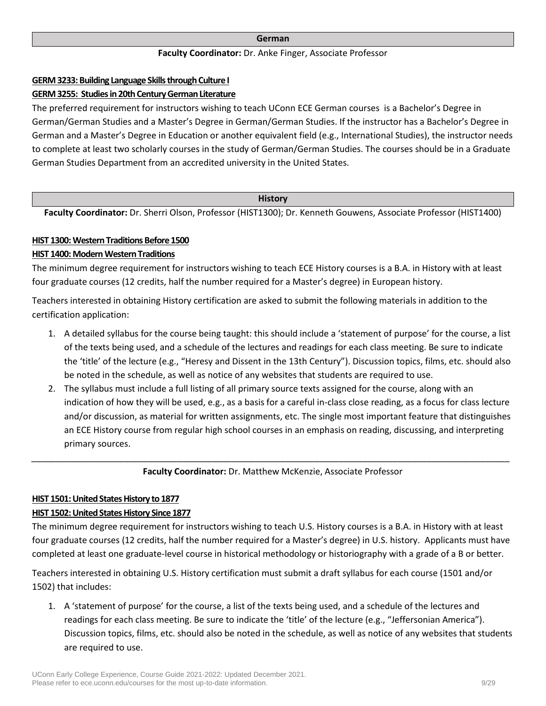#### **German**

#### **Faculty Coordinator:** Dr. Anke Finger, Associate Professor

#### **GERM3233: Building Language Skills through Culture I**

#### **GERM 3255: Studies in 20th Century German Literature**

The preferred requirement for instructors wishing to teach UConn ECE German courses is a Bachelor's Degree in German/German Studies and a Master's Degree in German/German Studies. If the instructor has a Bachelor's Degree in German and a Master's Degree in Education or another equivalent field (e.g., International Studies), the instructor needs to complete at least two scholarly courses in the study of German/German Studies. The courses should be in a Graduate German Studies Department from an accredited university in the United States.

#### **History**

**Faculty Coordinator:** Dr. Sherri Olson, Professor (HIST1300); Dr. Kenneth Gouwens, Associate Professor (HIST1400)

## **HIST 1300: Western Traditions Before 1500**

## **HIST 1400: Modern Western Traditions**

The minimum degree requirement for instructors wishing to teach ECE History courses is a B.A. in History with at least four graduate courses (12 credits, half the number required for a Master's degree) in European history.

Teachers interested in obtaining History certification are asked to submit the following materials in addition to the certification application:

- 1. A detailed syllabus for the course being taught: this should include a 'statement of purpose' for the course, a list of the texts being used, and a schedule of the lectures and readings for each class meeting. Be sure to indicate the 'title' of the lecture (e.g., "Heresy and Dissent in the 13th Century"). Discussion topics, films, etc. should also be noted in the schedule, as well as notice of any websites that students are required to use.
- 2. The syllabus must include a full listing of all primary source texts assigned for the course, along with an indication of how they will be used, e.g., as a basis for a careful in-class close reading, as a focus for class lecture and/or discussion, as material for written assignments, etc. The single most important feature that distinguishes an ECE History course from regular high school courses in an emphasis on reading, discussing, and interpreting primary sources.

*\_\_\_\_\_\_\_\_\_\_\_\_\_\_\_\_\_\_\_\_\_\_\_\_\_\_\_\_\_\_\_\_\_\_\_\_\_\_\_\_\_\_\_\_\_\_\_\_\_\_\_\_\_\_\_\_\_\_\_\_\_\_\_\_\_\_\_\_\_\_\_\_\_\_\_\_\_\_\_\_\_\_\_\_\_\_\_\_\_\_\_\_\_\_\_\_\_\_* **Faculty Coordinator:** Dr. Matthew McKenzie, Associate Professor

#### **HIST 1501: United States History to 1877**

## **HIST 1502: United States History Since 1877**

The minimum degree requirement for instructors wishing to teach U.S. History courses is a B.A. in History with at least four graduate courses (12 credits, half the number required for a Master's degree) in U.S. history. Applicants must have completed at least one graduate-level course in historical methodology or historiography with a grade of a B or better.

Teachers interested in obtaining U.S. History certification must submit a draft syllabus for each course (1501 and/or 1502) that includes:

1. A 'statement of purpose' for the course, a list of the texts being used, and a schedule of the lectures and readings for each class meeting. Be sure to indicate the 'title' of the lecture (e.g., "Jeffersonian America"). Discussion topics, films, etc. should also be noted in the schedule, as well as notice of any websites that students are required to use.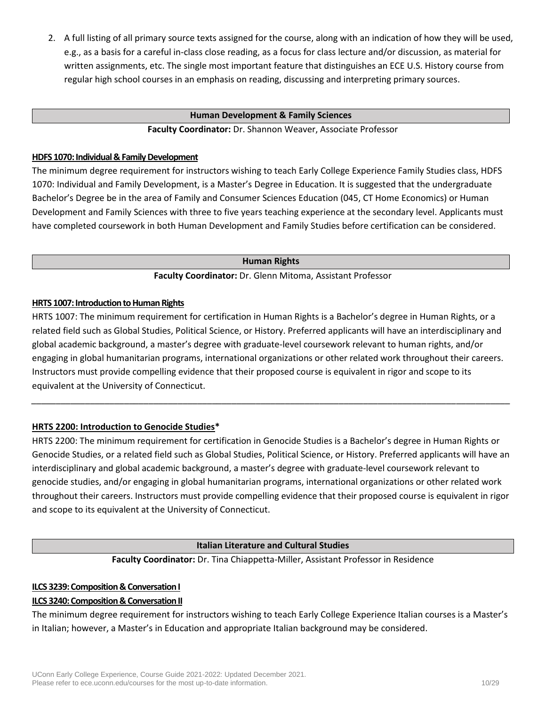2. A full listing of all primary source texts assigned for the course, along with an indication of how they will be used, e.g., as a basis for a careful in-class close reading, as a focus for class lecture and/or discussion, as material for written assignments, etc. The single most important feature that distinguishes an ECE U.S. History course from regular high school courses in an emphasis on reading, discussing and interpreting primary sources.

#### **Human Development & Family Sciences**

**Faculty Coordinator:** Dr. Shannon Weaver, Associate Professor

#### **HDFS 1070: Individual & Family Development**

The minimum degree requirement for instructors wishing to teach Early College Experience Family Studies class, HDFS 1070: Individual and Family Development, is a Master's Degree in Education. It is suggested that the undergraduate Bachelor's Degree be in the area of Family and Consumer Sciences Education (045, CT Home Economics) or Human Development and Family Sciences with three to five years teaching experience at the secondary level. Applicants must have completed coursework in both Human Development and Family Studies before certification can be considered.

**Human Rights**

**Faculty Coordinator:** Dr. Glenn Mitoma, Assistant Professor

#### **HRTS 1007: Introduction to Human Rights**

HRTS 1007: The minimum requirement for certification in Human Rights is a Bachelor's degree in Human Rights, or a related field such as Global Studies, Political Science, or History. Preferred applicants will have an interdisciplinary and global academic background, a master's degree with graduate-level coursework relevant to human rights, and/or engaging in global humanitarian programs, international organizations or other related work throughout their careers. Instructors must provide compelling evidence that their proposed course is equivalent in rigor and scope to its equivalent at the University of Connecticut.

*\_\_\_\_\_\_\_\_\_\_\_\_\_\_\_\_\_\_\_\_\_\_\_\_\_\_\_\_\_\_\_\_\_\_\_\_\_\_\_\_\_\_\_\_\_\_\_\_\_\_\_\_\_\_\_\_\_\_\_\_\_\_\_\_\_\_\_\_\_\_\_\_\_\_\_\_\_\_\_\_\_\_\_\_\_\_\_\_\_\_\_\_\_\_\_\_\_\_*

#### **HRTS 2200: Introduction to Genocide Studies\***

HRTS 2200: The minimum requirement for certification in Genocide Studies is a Bachelor's degree in Human Rights or Genocide Studies, or a related field such as Global Studies, Political Science, or History. Preferred applicants will have an interdisciplinary and global academic background, a master's degree with graduate-level coursework relevant to genocide studies, and/or engaging in global humanitarian programs, international organizations or other related work throughout their careers. Instructors must provide compelling evidence that their proposed course is equivalent in rigor and scope to its equivalent at the University of Connecticut.

#### **Italian Literature and Cultural Studies**

**Faculty Coordinator:** Dr. Tina Chiappetta-Miller, Assistant Professor in Residence

## **ILCS 3239: Composition & Conversation I**

#### **ILCS 3240: Composition & Conversation II**

The minimum degree requirement for instructors wishing to teach Early College Experience Italian courses is a Master's in Italian; however, a Master's in Education and appropriate Italian background may be considered.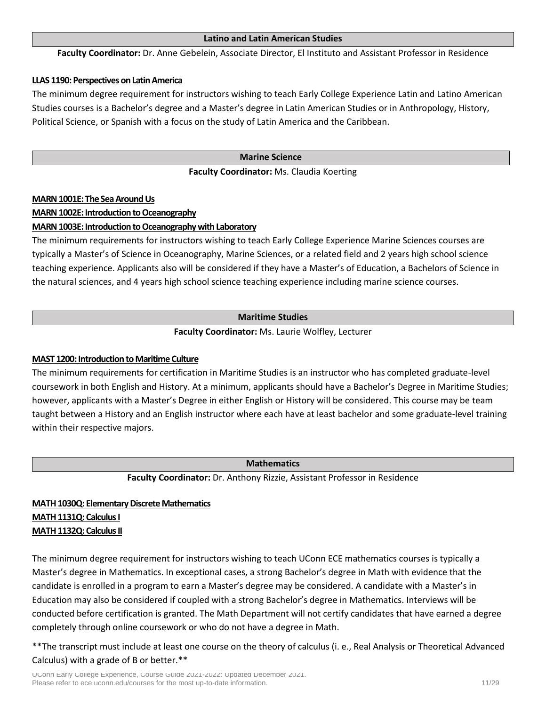#### **Latino and Latin American Studies**

**Faculty Coordinator:** Dr. Anne Gebelein, Associate Director, El Instituto and Assistant Professor in Residence

#### **LLAS 1190: Perspectives on Latin America**

The minimum degree requirement for instructors wishing to teach Early College Experience Latin and Latino American Studies courses is a Bachelor's degree and a Master's degree in Latin American Studies or in Anthropology, History, Political Science, or Spanish with a focus on the study of Latin America and the Caribbean.

#### **Marine Science**

#### **Faculty Coordinator:** Ms. Claudia Koerting

#### **MARN 1001E: The Sea Around Us**

#### **MARN 1002E: Introduction to Oceanography**

#### **MARN 1003E: Introduction to Oceanography with Laboratory**

The minimum requirements for instructors wishing to teach Early College Experience Marine Sciences courses are typically a Master's of Science in Oceanography, Marine Sciences, or a related field and 2 years high school science teaching experience. Applicants also will be considered if they have a Master's of Education, a Bachelors of Science in the natural sciences, and 4 years high school science teaching experience including marine science courses.

#### **Maritime Studies**

**Faculty Coordinator:** Ms. Laurie Wolfley, Lecturer

#### **MAST 1200: Introduction to Maritime Culture**

The minimum requirements for certification in Maritime Studies is an instructor who has completed graduate-level coursework in both English and History. At a minimum, applicants should have a Bachelor's Degree in Maritime Studies; however, applicants with a Master's Degree in either English or History will be considered. This course may be team taught between a History and an English instructor where each have at least bachelor and some graduate-level training within their respective majors.

#### **Mathematics**

**Faculty Coordinator:** Dr. Anthony Rizzie, Assistant Professor in Residence

## **MATH 1030Q: Elementary Discrete Mathematics MATH 1131Q: Calculus I MATH 1132Q: Calculus II**

The minimum degree requirement for instructors wishing to teach UConn ECE mathematics courses is typically a Master's degree in Mathematics. In exceptional cases, a strong Bachelor's degree in Math with evidence that the candidate is enrolled in a program to earn a Master's degree may be considered. A candidate with a Master's in Education may also be considered if coupled with a strong Bachelor's degree in Mathematics. Interviews will be conducted before certification is granted. The Math Department will not certify candidates that have earned a degree completely through online coursework or who do not have a degree in Math.

\*\*The transcript must include at least one course on the theory of calculus (i. e., Real Analysis or Theoretical Advanced Calculus) with a grade of B or better.\*\*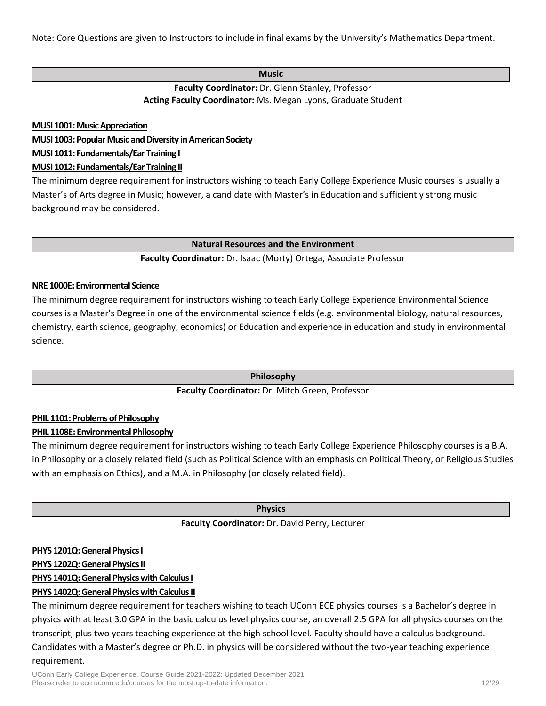Note: Core Questions are given to Instructors to include in final exams by the University's Mathematics Department.

#### **Music**

**Faculty Coordinator:** Dr. Glenn Stanley, Professor **Acting Faculty Coordinator:** Ms. Megan Lyons, Graduate Student

**MUSI 1001: Music Appreciation**

**MUSI 1003:Popular Music and Diversity in American Society**

**MUSI 1011: Fundamentals/Ear Training I**

### **MUSI 1012: Fundamentals/Ear Training II**

The minimum degree requirement for instructors wishing to teach Early College Experience Music courses is usually a Master's of Arts degree in Music; however, a candidate with Master's in Education and sufficiently strong music background may be considered.

#### **Natural Resources and the Environment**

## **Faculty Coordinator:** Dr. Isaac (Morty) Ortega, Associate Professor

#### **NRE 1000E: Environmental Science**

The minimum degree requirement for instructors wishing to teach Early College Experience Environmental Science courses is a Master's Degree in one of the environmental science fields (e.g. environmental biology, natural resources, chemistry, earth science, geography, economics) or Education and experience in education and study in environmental science.

**Philosophy**

## **Faculty Coordinator:** Dr. Mitch Green, Professor

#### **PHIL 1101: Problems of Philosophy**

## **PHIL 1108E: Environmental Philosophy**

The minimum degree requirement for instructors wishing to teach Early College Experience Philosophy courses is a B.A. in Philosophy or a closely related field (such as Political Science with an emphasis on Political Theory, or Religious Studies with an emphasis on Ethics), and a M.A. in Philosophy (or closely related field).

#### **Physics**

## **Faculty Coordinator:** Dr. David Perry, Lecturer

#### **PHYS 1201Q: General Physics I**

#### **PHYS 1202Q: General Physics II**

## **PHYS 1401Q: General Physics with Calculus I**

## **PHYS 1402Q:General Physics with Calculus II**

The minimum degree requirement for teachers wishing to teach UConn ECE physics courses is a Bachelor's degree in physics with at least 3.0 GPA in the basic calculus level physics course, an overall 2.5 GPA for all physics courses on the transcript, plus two years teaching experience at the high school level. Faculty should have a calculus background. Candidates with a Master's degree or Ph.D. in physics will be considered without the two-year teaching experience requirement.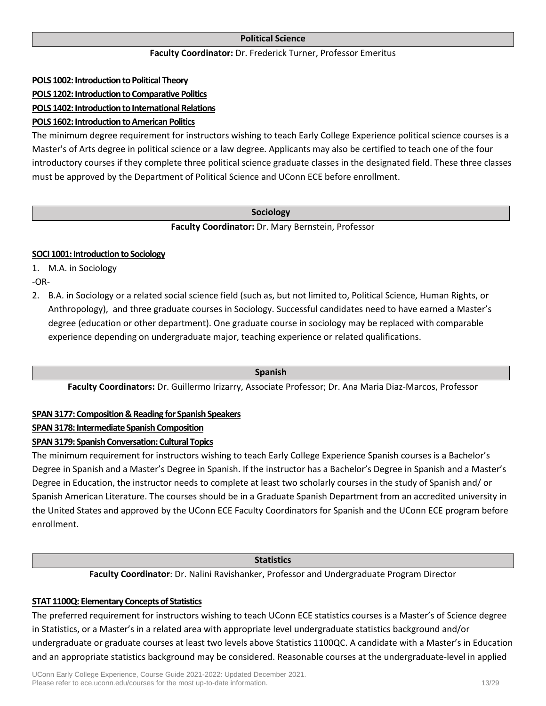## **Political Science**

#### **Faculty Coordinator:** Dr. Frederick Turner, Professor Emeritus

#### **POLS 1002: Introduction to Political Theory**

## **POLS 1202: Introduction to Comparative Politics**

**POLS 1402: Introduction to International Relations**

## **POLS 1602: Introduction to American Politics**

The minimum degree requirement for instructors wishing to teach Early College Experience political science courses is a Master's of Arts degree in political science or a law degree. Applicants may also be certified to teach one of the four introductory courses if they complete three political science graduate classes in the designated field. These three classes must be approved by the Department of Political Science and UConn ECE before enrollment.

#### **Sociology**

#### **Faculty Coordinator:** Dr. Mary Bernstein, Professor

#### **SOCI 1001: Introduction to Sociology**

1. M.A. in Sociology

-OR-

2. B.A. in Sociology or a related social science field (such as, but not limited to, Political Science, Human Rights, or Anthropology), and three graduate courses in Sociology. Successful candidates need to have earned a Master's degree (education or other department). One graduate course in sociology may be replaced with comparable experience depending on undergraduate major, teaching experience or related qualifications.

**Spanish**

**Faculty Coordinators:** Dr. Guillermo Irizarry, Associate Professor; Dr. Ana Maria Diaz-Marcos, Professor

#### **SPAN 3177: Composition & Reading for Spanish Speakers**

## **SPAN 3178: Intermediate Spanish Composition**

#### **SPAN 3179: Spanish Conversation: Cultural Topics**

The minimum requirement for instructors wishing to teach Early College Experience Spanish courses is a Bachelor's Degree in Spanish and a Master's Degree in Spanish. If the instructor has a Bachelor's Degree in Spanish and a Master's Degree in Education, the instructor needs to complete at least two scholarly courses in the study of Spanish and/ or Spanish American Literature. The courses should be in a Graduate Spanish Department from an accredited university in the United States and approved by the UConn ECE Faculty Coordinators for Spanish and the UConn ECE program before enrollment.

#### **Statistics**

**Faculty Coordinator**: Dr. Nalini Ravishanker, Professor and Undergraduate Program Director

#### **STAT 1100Q: Elementary Concepts of Statistics**

The preferred requirement for instructors wishing to teach UConn ECE statistics courses is a Master's of Science degree in Statistics, or a Master's in a related area with appropriate level undergraduate statistics background and/or undergraduate or graduate courses at least two levels above Statistics 1100QC. A candidate with a Master's in Education and an appropriate statistics background may be considered. Reasonable courses at the undergraduate-level in applied